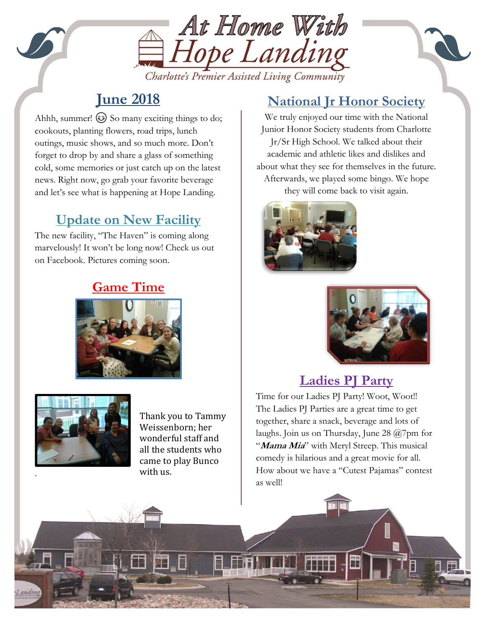

#### Charlotte's Premier Assisted Living Community

## **June 2018**

and let's see what is happening at Hope Landing. Ahhh, summer!  $\odot$  So many exciting things to do; cookouts, planting flowers, road trips, lunch outings, music shows, and so much more. Don't forget to drop by and share a glass of something cold, some memories or just catch up on the latest news. Right now, go grab your favorite beverage

# **Update on New Facility**

The new facility, "The Haven" is coming along marvelously! It won't be long now! Check us out on Facebook. Pictures coming soon.

### **Game Time**





Thank you to Tammy Weissenborn; her wonderful staff and all the students who came to play Bunco with us.

### **National Jr Honor Society**

We truly enjoyed our time with the National Junior Honor Society students from Charlotte Jr/Sr High School. We talked about their academic and athletic likes and dislikes and about what they see for themselves in the future. Afterwards, we played some bingo. We hope they will come back to visit again.





## **Ladies PJ Party**

The Ladies PJ Parties are a great time to get<br>the chose change a great the women and late of Time for our Ladies PJ Party! Woot, Woot!! together, share a snack, beverage and lots of laughs. Join us on Thursday, June 28 @7pm for "**Mama Mia**" with Meryl Streep. This musical comedy is hilarious and a great movie for all. How about we have a "Cutest Pajamas" contest as well!